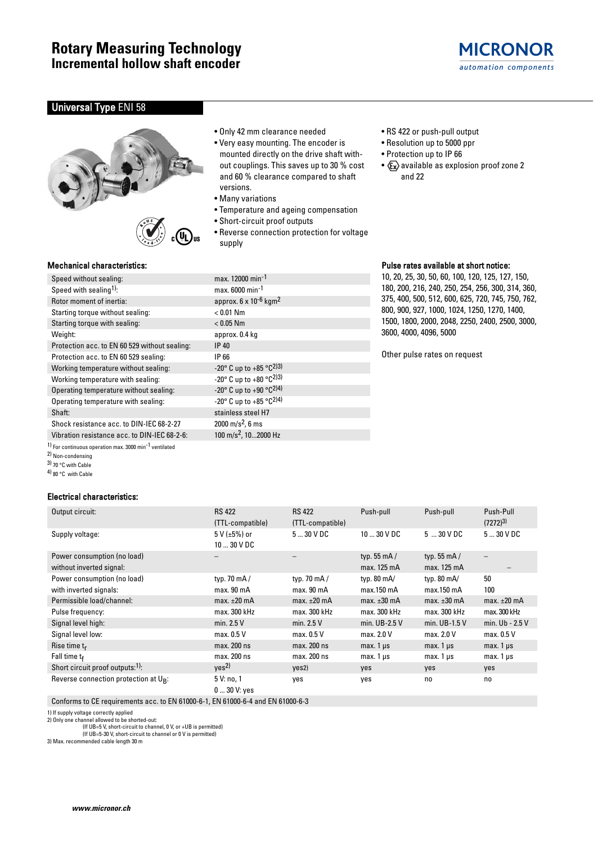# **MICRONOR** automation components

### Universal Type ENI 58





### Mechanical characteristics:

| Speed without sealing:                        | max.         |
|-----------------------------------------------|--------------|
| Speed with sealing <sup>1)</sup> :            | max.         |
| Rotor moment of inertia:                      | appr         |
| Starting torque without sealing:              | < 0.0        |
| Starting torque with sealing:                 | < 0.0        |
| Weight:                                       | appr         |
| Protection acc. to EN 60 529 without sealing: | <b>IP 40</b> |
| Protection acc. to EN 60 529 sealing:         | IP 66        |
| Working temperature without sealing:          | $-20^\circ$  |
| Working temperature with sealing:             | $-20^\circ$  |
| Operating temperature without sealing:        | $-20^\circ$  |
| Operating temperature with sealing:           | $-20^\circ$  |
| Shaft:                                        | stain        |
| Shock resistance acc. to DIN-IEC 68-2-27      | 2000         |
|                                               |              |

Vibration resistance acc. to DIN-IEC 68-2-6:

1) For continuous operation max. 3000 min-1 ventilated

2) Non-condensing

3) 70 °C with Cable

4) 80 °C with Cable

### Electrical characteristics:

• Only 42 mm clearance needed

- Very easy mounting. The encoder is mounted directly on the drive shaft without couplings. This saves up to 30 % cost and 60 % clearance compared to shaft versions.
- Many variations

max. 12000 min<sup>-1</sup>  $max. 6000$  min-1 approx.  $6 \times 10^{-6}$  kgm<sup>2</sup>

-20° C up to +85 °C<sup>2)3)</sup> -20° C up to  $+80$  °C<sup>2)3)</sup> -20° C up to +90 °C<sup>2)4)</sup> -20° C up to  $+85$  °C<sup>2)4)</sup> stainless steel H7  $2000 \text{ m/s}^2$ , 6 ms<br>100 m/s<sup>2</sup>, 10...2000 Hz

 $< 0.01$  Nm  $< 0.05$  Nm approx. 0.4 kg

- Temperature and ageing compensation
- Short-circuit proof outputs
- Reverse connection protection for voltage supply
- RS 422 or push-pull output
- Resolution up to 5000 ppr
- Protection up to IP 66
- $x \rightarrow 2$  available as explosion proof zone 2 and 22

## Pulse rates available at short notice:

10, 20, 25, 30, 50, 60, 100, 120, 125, 127, 150, 180, 200, 216, 240, 250, 254, 256, 300, 314, 360, 375, 400, 500, 512, 600, 625, 720, 745, 750, 762, 800, 900, 927, 1000, 1024, 1250, 1270, 1400, 1500, 1800, 2000, 2048, 2250, 2400, 2500, 3000, 3600, 4000, 4096, 5000

Other pulse rates on request

| Output circuit:                                         | <b>RS 422</b><br>(TTL-compatible)     | <b>RS 422</b><br>(TTL-compatible) | Push-pull                           | Push-pull                          | Push-Pull<br>$(7272)^{3}$ |
|---------------------------------------------------------|---------------------------------------|-----------------------------------|-------------------------------------|------------------------------------|---------------------------|
| Supply voltage:                                         | 5 V ( $\pm$ 5%) or<br>$1030$ V DC     | $530$ V DC                        | $1030$ V DC                         | $5 \dots 30 \vee DC$               | $530$ V DC                |
| Power consumption (no load)<br>without inverted signal: |                                       |                                   | typ. $55 \text{ mA}$<br>max. 125 mA | typ. 55 $mA/$<br>max. 125 mA       |                           |
| Power consumption (no load)<br>with inverted signals:   | typ. 70 $mA/$<br>max.90 <sub>mA</sub> | typ. 70 $mA/$<br>max. 90 mA       | typ. 80 mA/<br>max.150 mA           | typ. $80 \text{ mA}$<br>max.150 mA | 50<br>100                 |
| Permissible load/channel:                               | $max. \pm 20$ mA                      | max. $\pm 20$ mA                  | $max. \pm 30$ mA                    | max. $\pm 30$ mA                   | $max. \pm 20$ mA          |
| Pulse frequency:                                        | max. 300 kHz                          | max. 300 kHz                      | max. 300 kHz                        | max. 300 kHz                       | max. 300 kHz              |
| Signal level high:                                      | min. $2.5V$                           | min. $2.5V$                       | min. UB-2.5 V                       | min. UB-1.5 V                      | min. Ub - 2.5 V           |
| Signal level low:                                       | max. 0.5 V                            | max. 0.5 V                        | max. 2.0 V                          | max. 2.0 V                         | max. 0.5 V                |
| Rise time $t_r$                                         | max. 200 ns                           | max. 200 ns                       | $max. 1 \mu s$                      | $max. 1 \mu s$                     | $max.1 \,\mu s$           |
| Fall time $t_f$                                         | max. 200 ns                           | max. 200 ns                       | $max. 1 \mu s$                      | $max.1 \,\mu s$                    | $max.1 \mu s$             |
| Short circuit proof outputs: <sup>1)</sup> :            | Yes <sup>2</sup>                      | yes2)                             | <b>ves</b>                          | <b>ves</b>                         | yes                       |
| Reverse connection protection at $U_R$ :                | 5 V: no, 1<br>$030$ V: yes            | yes                               | yes                                 | no.                                | no                        |

Conforms to CE requirements acc. to EN 61000-6-1, EN 61000-6-4 and EN 61000-6-3

1) If supply voltage correctly applied 2) Only one channel allowed to be shorted-out:

(If UB=5 V, short-circuit to channel, 0 V, or +UB is permitted) (If UB=5-30 V, short-circuit to channel or 0 V is permitted)

3) Max. recommended cable length 30 m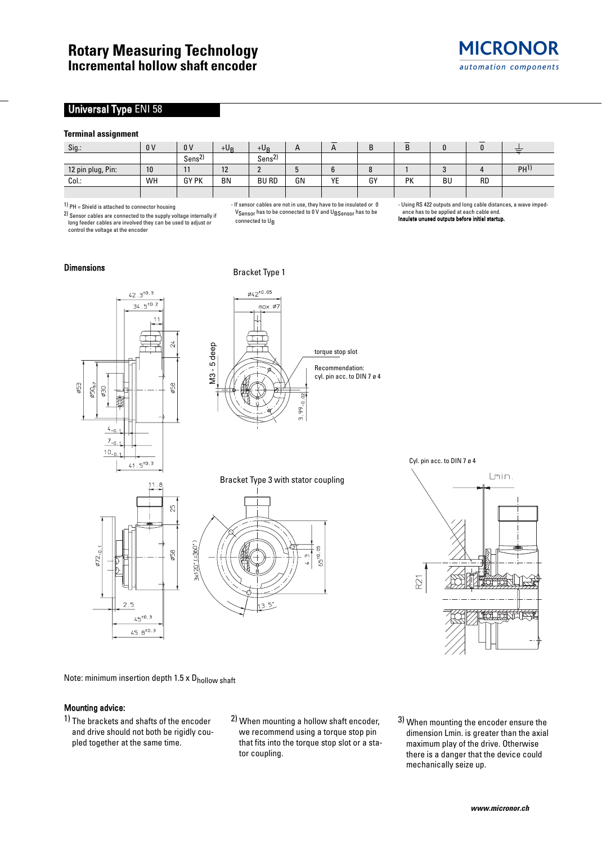### Universal Type ENI 58

### **Terminal assignment**

| Sig.:             | 0 <sup>V</sup> | 0 <sup>V</sup>           | $+U_B$    | $+U_B$            | $\mathsf{A}$ | _<br>n | D<br>D | D  |    | -         |                 |
|-------------------|----------------|--------------------------|-----------|-------------------|--------------|--------|--------|----|----|-----------|-----------------|
|                   |                | າ\<br>Sens <sup>2)</sup> |           | Sens <sup>2</sup> |              |        |        |    |    |           |                 |
| 12 pin plug, Pin: | 10             | 11<br>ш                  | 12        |                   |              |        |        |    |    |           | PH <sup>1</sup> |
| Col.:             | WH             | <b>GY PK</b>             | <b>BN</b> | <b>BU RD</b>      | GN           | YE     | GY     | PK | BU | <b>RD</b> |                 |
|                   |                |                          |           |                   |              |        |        |    |    |           |                 |

1) PH = Shield is attached to connector housing

2) Sensor cables are connected to the supply voltage internally if long feeder cables are involved they can be used to adjust or control the voltage at the encoder

- If sensor cables are not in use, they have to be insulated or 0 V<sub>Sensor</sub> has to be connected to 0 V and U<sub>BSensor</sub> has to be connected to  $U_{\rm B}$ 

- Using RS 422 outputs and long cable distances, a wave impedance has to be applied at each cable end. ed outputs before initial startur

## **Dimensions** Bracket Type 1







Note: minimum insertion depth  $1.5 \times D$ <sub>hollow shaft</sub>

#### Mounting advice:

 $572$ 

 $\overline{c}$ 5  $45^{+0.3}$  $45.8^{\pm0.3}$ 

- 1) The brackets and shafts of the encoder and drive should not both be rigidly coupled together at the same time.
- 2) When mounting a hollow shaft encoder, we recommend using a torque stop pin that fits into the torque stop slot or a stator coupling.
- 3) When mounting the encoder ensure the dimension Lmin. is greater than the axial maximum play of the drive. Otherwise there is a danger that the device could mechanically seize up.